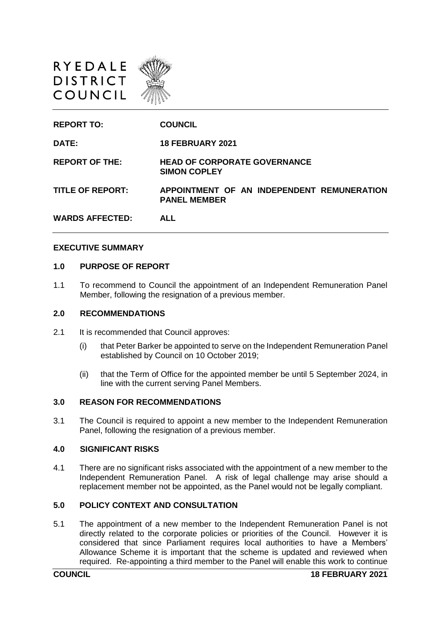



#### **EXECUTIVE SUMMARY**

#### **1.0 PURPOSE OF REPORT**

1.1 To recommend to Council the appointment of an Independent Remuneration Panel Member, following the resignation of a previous member.

## **2.0 RECOMMENDATIONS**

- 2.1 It is recommended that Council approves:
	- (i) that Peter Barker be appointed to serve on the Independent Remuneration Panel established by Council on 10 October 2019;
	- (ii) that the Term of Office for the appointed member be until 5 September 2024, in line with the current serving Panel Members.

## **3.0 REASON FOR RECOMMENDATIONS**

3.1 The Council is required to appoint a new member to the Independent Remuneration Panel, following the resignation of a previous member.

#### **4.0 SIGNIFICANT RISKS**

4.1 There are no significant risks associated with the appointment of a new member to the Independent Remuneration Panel. A risk of legal challenge may arise should a replacement member not be appointed, as the Panel would not be legally compliant.

# **5.0 POLICY CONTEXT AND CONSULTATION**

5.1 The appointment of a new member to the Independent Remuneration Panel is not directly related to the corporate policies or priorities of the Council. However it is considered that since Parliament requires local authorities to have a Members' Allowance Scheme it is important that the scheme is updated and reviewed when required. Re-appointing a third member to the Panel will enable this work to continue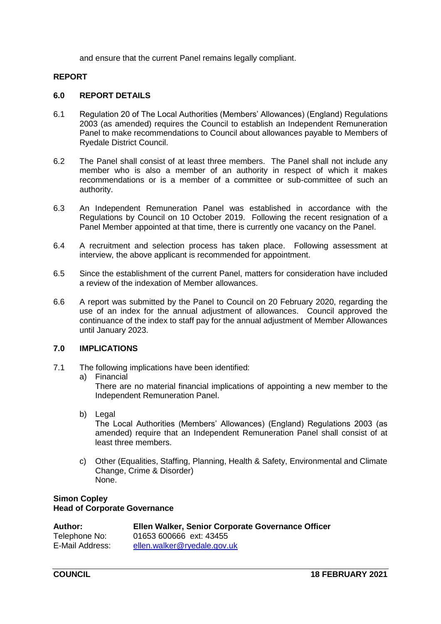and ensure that the current Panel remains legally compliant.

# **REPORT**

## **6.0 REPORT DETAILS**

- 6.1 Regulation 20 of The Local Authorities (Members' Allowances) (England) Regulations 2003 (as amended) requires the Council to establish an Independent Remuneration Panel to make recommendations to Council about allowances payable to Members of Ryedale District Council.
- 6.2 The Panel shall consist of at least three members. The Panel shall not include any member who is also a member of an authority in respect of which it makes recommendations or is a member of a committee or sub-committee of such an authority.
- 6.3 An Independent Remuneration Panel was established in accordance with the Regulations by Council on 10 October 2019. Following the recent resignation of a Panel Member appointed at that time, there is currently one vacancy on the Panel.
- 6.4 A recruitment and selection process has taken place. Following assessment at interview, the above applicant is recommended for appointment.
- 6.5 Since the establishment of the current Panel, matters for consideration have included a review of the indexation of Member allowances.
- 6.6 A report was submitted by the Panel to Council on 20 February 2020, regarding the use of an index for the annual adjustment of allowances. Council approved the continuance of the index to staff pay for the annual adjustment of Member Allowances until January 2023.

# **7.0 IMPLICATIONS**

- 7.1 The following implications have been identified:
	- a) Financial

There are no material financial implications of appointing a new member to the Independent Remuneration Panel.

b) Legal

The Local Authorities (Members' Allowances) (England) Regulations 2003 (as amended) require that an Independent Remuneration Panel shall consist of at least three members.

c) Other (Equalities, Staffing, Planning, Health & Safety, Environmental and Climate Change, Crime & Disorder) None.

## **Simon Copley Head of Corporate Governance**

| <b>Author:</b>  | Ellen Walker, Senior Corporate Governance Officer |
|-----------------|---------------------------------------------------|
| Telephone No:   | 01653 600666 ext: 43455                           |
| E-Mail Address: | ellen.walker@ryedale.gov.uk                       |